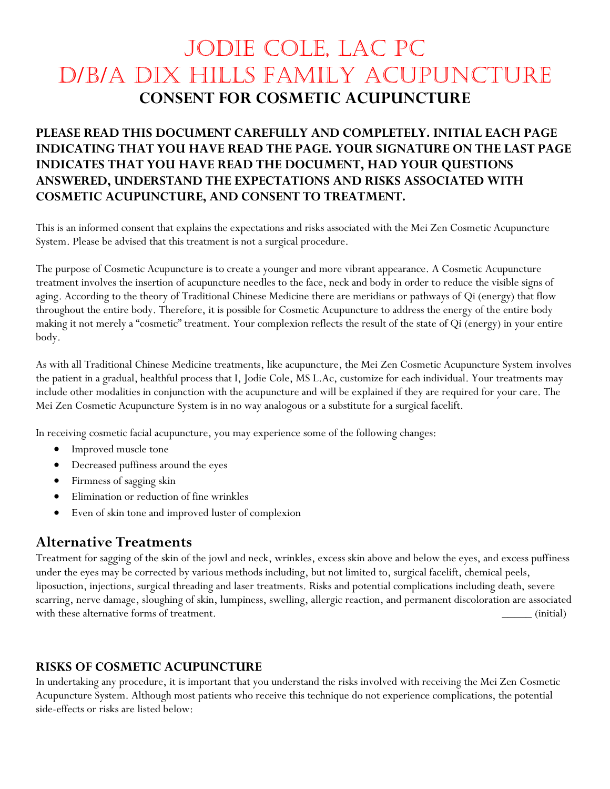## Jodie Cole, LAC PC d/b/a Dix Hills Family Acupuncture **CONSENT FOR COSMETIC ACUPUNCTURE**

### **PLEASE READ THIS DOCUMENT CAREFULLY AND COMPLETELY. INITIAL EACH PAGE INDICATING THAT YOU HAVE READ THE PAGE. YOUR SIGNATURE ON THE LAST PAGE INDICATES THAT YOU HAVE READ THE DOCUMENT, HAD YOUR QUESTIONS ANSWERED, UNDERSTAND THE EXPECTATIONS AND RISKS ASSOCIATED WITH COSMETIC ACUPUNCTURE, AND CONSENT TO TREATMENT.**

This is an informed consent that explains the expectations and risks associated with the Mei Zen Cosmetic Acupuncture System. Please be advised that this treatment is not a surgical procedure.

The purpose of Cosmetic Acupuncture is to create a younger and more vibrant appearance. A Cosmetic Acupuncture treatment involves the insertion of acupuncture needles to the face, neck and body in order to reduce the visible signs of aging. According to the theory of Traditional Chinese Medicine there are meridians or pathways of Qi (energy) that flow throughout the entire body. Therefore, it is possible for Cosmetic Acupuncture to address the energy of the entire body making it not merely a "cosmetic" treatment. Your complexion reflects the result of the state of Qi (energy) in your entire body.

As with all Traditional Chinese Medicine treatments, like acupuncture, the Mei Zen Cosmetic Acupuncture System involves the patient in a gradual, healthful process that I, Jodie Cole, MS L.Ac, customize for each individual. Your treatments may include other modalities in conjunction with the acupuncture and will be explained if they are required for your care. The Mei Zen Cosmetic Acupuncture System is in no way analogous or a substitute for a surgical facelift.

In receiving cosmetic facial acupuncture, you may experience some of the following changes:

- Improved muscle tone
- Decreased puffiness around the eyes
- Firmness of sagging skin
- Elimination or reduction of fine wrinkles
- Even of skin tone and improved luster of complexion

### **Alternative Treatments**

Treatment for sagging of the skin of the jowl and neck, wrinkles, excess skin above and below the eyes, and excess puffiness under the eyes may be corrected by various methods including, but not limited to, surgical facelift, chemical peels, liposuction, injections, surgical threading and laser treatments. Risks and potential complications including death, severe scarring, nerve damage, sloughing of skin, lumpiness, swelling, allergic reaction, and permanent discoloration are associated with these alternative forms of treatment.  $\qquad \qquad$  (initial)

#### **RISKS OF COSMETIC ACUPUNCTURE**

In undertaking any procedure, it is important that you understand the risks involved with receiving the Mei Zen Cosmetic Acupuncture System. Although most patients who receive this technique do not experience complications, the potential side-effects or risks are listed below: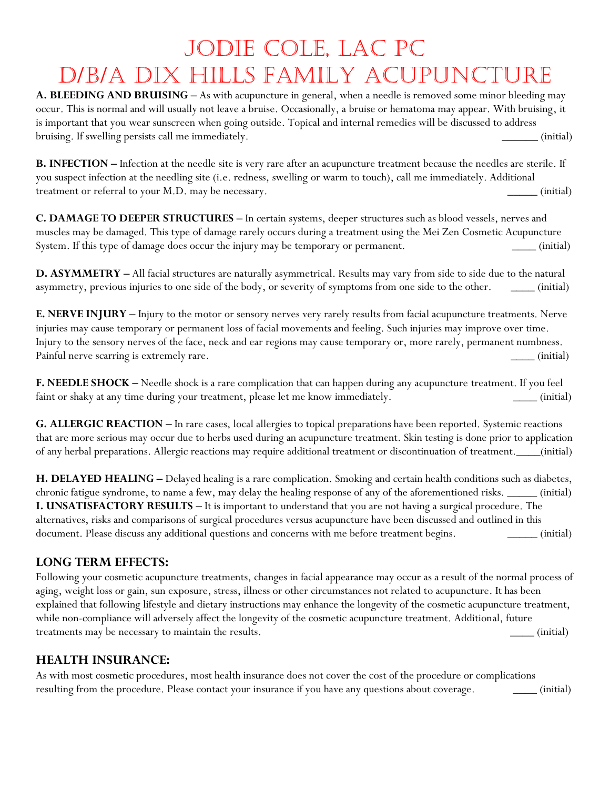# Jodie Cole, LAC PC d/b/a Dix Hills Family Acupuncture

A. BLEEDING AND BRUISING - As with acupuncture in general, when a needle is removed some minor bleeding may occur. This is normal and will usually not leave a bruise. Occasionally, a bruise or hematoma may appear. With bruising, it is important that you wear sunscreen when going outside. Topical and internal remedies will be discussed to address bruising. If swelling persists call me immediately. **Example 20** (initial)

**B. INFECTION – Infection at the needle site is very rare after an acupuncture treatment because the needles are sterile. If** you suspect infection at the needling site (i.e. redness, swelling or warm to touch), call me immediately. Additional treatment or referral to your M.D. may be necessary. \_\_\_\_\_ (initial)

**C. DAMAGE TO DEEPER STRUCTURES –** In certain systems, deeper structures such as blood vessels, nerves and muscles may be damaged. This type of damage rarely occurs during a treatment using the Mei Zen Cosmetic Acupuncture System. If this type of damage does occur the injury may be temporary or permanent. \_\_\_\_ (initial)

**D. ASYMMETRY –** All facial structures are naturally asymmetrical. Results may vary from side to side due to the natural asymmetry, previous injuries to one side of the body, or severity of symptoms from one side to the other. \_\_\_\_\_ (initial)

**E. NERVE INJURY –** Injury to the motor or sensory nerves very rarely results from facial acupuncture treatments. Nerve injuries may cause temporary or permanent loss of facial movements and feeling. Such injuries may improve over time. Injury to the sensory nerves of the face, neck and ear regions may cause temporary or, more rarely, permanent numbness. Painful nerve scarring is extremely rare.  $\qquad \qquad \qquad$  (initial)

**F. NEEDLE SHOCK –** Needle shock is a rare complication that can happen during any acupuncture treatment. If you feel faint or shaky at any time during your treatment, please let me know immediately. \_\_\_\_ (initial)

**G. ALLERGIC REACTION –** In rare cases, local allergies to topical preparations have been reported. Systemic reactions that are more serious may occur due to herbs used during an acupuncture treatment. Skin testing is done prior to application of any herbal preparations. Allergic reactions may require additional treatment or discontinuation of treatment.\_\_\_\_(initial)

**H. DELAYED HEALING –** Delayed healing is a rare complication. Smoking and certain health conditions such as diabetes, chronic fatigue syndrome, to name a few, may delay the healing response of any of the aforementioned risks. \_\_\_\_\_ (initial) **I. UNSATISFACTORY RESULTS –** It is important to understand that you are not having a surgical procedure. The alternatives, risks and comparisons of surgical procedures versus acupuncture have been discussed and outlined in this document. Please discuss any additional questions and concerns with me before treatment begins. \_\_\_\_\_\_ (initial)

### **LONG TERM EFFECTS:**

Following your cosmetic acupuncture treatments, changes in facial appearance may occur as a result of the normal process of aging, weight loss or gain, sun exposure, stress, illness or other circumstances not related to acupuncture. It has been explained that following lifestyle and dietary instructions may enhance the longevity of the cosmetic acupuncture treatment, while non-compliance will adversely affect the longevity of the cosmetic acupuncture treatment. Additional, future treatments may be necessary to maintain the results.  $\qquad \qquad \qquad \qquad$  (initial)

### **HEALTH INSURANCE:**

As with most cosmetic procedures, most health insurance does not cover the cost of the procedure or complications resulting from the procedure. Please contact your insurance if you have any questions about coverage. \_\_\_\_\_ (initial)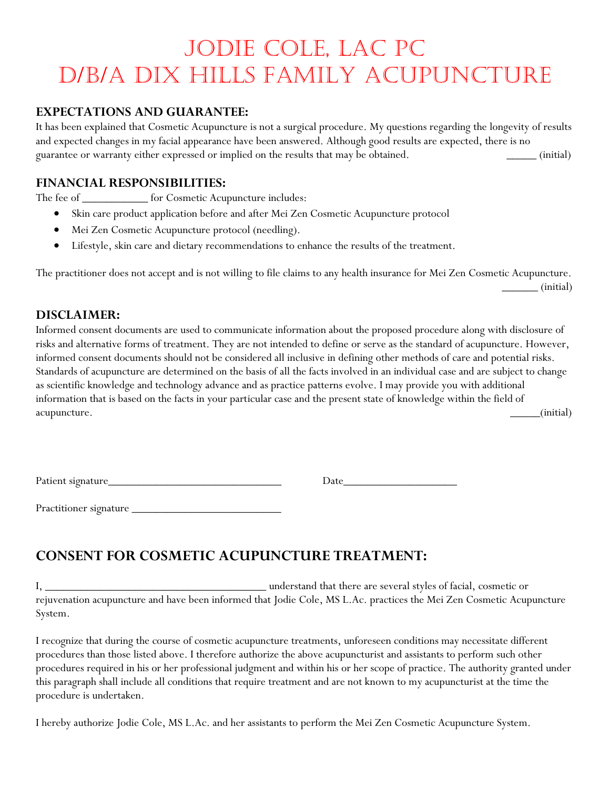## Jodie Cole, LAC PC d/b/a Dix Hills Family Acupuncture

### **EXPECTATIONS AND GUARANTEE:**

It has been explained that Cosmetic Acupuncture is not a surgical procedure. My questions regarding the longevity of results and expected changes in my facial appearance have been answered. Although good results are expected, there is no guarantee or warranty either expressed or implied on the results that may be obtained. \_\_\_\_\_ (initial)

#### **FINANCIAL RESPONSIBILITIES:**

The fee of \_\_\_\_\_\_\_\_\_\_\_\_ for Cosmetic Acupuncture includes:

- Skin care product application before and after Mei Zen Cosmetic Acupuncture protocol
- Mei Zen Cosmetic Acupuncture protocol (needling).
- Lifestyle, skin care and dietary recommendations to enhance the results of the treatment.

The practitioner does not accept and is not willing to file claims to any health insurance for Mei Zen Cosmetic Acupuncture. \_\_\_\_\_\_ (initial)

### **DISCLAIMER:**

Informed consent documents are used to communicate information about the proposed procedure along with disclosure of risks and alternative forms of treatment. They are not intended to define or serve as the standard of acupuncture. However, informed consent documents should not be considered all inclusive in defining other methods of care and potential risks. Standards of acupuncture are determined on the basis of all the facts involved in an individual case and are subject to change as scientific knowledge and technology advance and as practice patterns evolve. I may provide you with additional information that is based on the facts in your particular case and the present state of knowledge within the field of acupuncture. \_\_\_\_\_(initial)

Patient signature\_\_\_\_\_\_\_\_\_\_\_\_\_\_\_\_\_\_\_\_\_\_\_\_\_\_\_\_\_ Date\_\_\_\_\_\_\_\_\_\_\_\_\_\_\_\_\_\_\_

Practitioner signature \_\_\_\_\_\_\_\_\_\_\_\_\_\_\_\_\_\_\_\_\_\_\_\_\_

### **CONSENT FOR COSMETIC ACUPUNCTURE TREATMENT:**

I, \_\_\_\_\_\_\_\_\_\_\_\_\_\_\_\_\_\_\_\_\_\_\_\_\_\_\_\_\_\_\_\_\_\_\_\_\_ understand that there are several styles of facial, cosmetic or rejuvenation acupuncture and have been informed that Jodie Cole, MS L.Ac. practices the Mei Zen Cosmetic Acupuncture System.

I recognize that during the course of cosmetic acupuncture treatments, unforeseen conditions may necessitate different procedures than those listed above. I therefore authorize the above acupuncturist and assistants to perform such other procedures required in his or her professional judgment and within his or her scope of practice. The authority granted under this paragraph shall include all conditions that require treatment and are not known to my acupuncturist at the time the procedure is undertaken.

I hereby authorize Jodie Cole, MS L.Ac. and her assistants to perform the Mei Zen Cosmetic Acupuncture System.